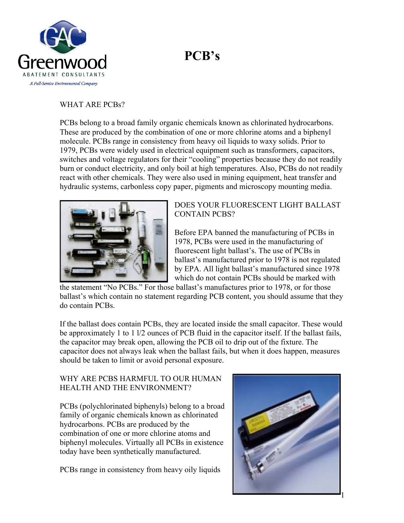## **PCB's**



## WHAT ARE PCBs?

PCBs belong to a broad family organic chemicals known as chlorinated hydrocarbons. These are produced by the combination of one or more chlorine atoms and a biphenyl molecule. PCBs range in consistency from heavy oil liquids to waxy solids. Prior to 1979, PCBs were widely used in electrical equipment such as transformers, capacitors, switches and voltage regulators for their "cooling" properties because they do not readily burn or conduct electricity, and only boil at high temperatures. Also, PCBs do not readily react with other chemicals. They were also used in mining equipment, heat transfer and hydraulic systems, carbonless copy paper, pigments and microscopy mounting media.



## DOES YOUR FLUORESCENT LIGHT BALLAST CONTAIN PCBS?

Before EPA banned the manufacturing of PCBs in 1978, PCBs were used in the manufacturing of fluorescent light ballast's. The use of PCBs in ballast's manufactured prior to 1978 is not regulated by EPA. All light ballast's manufactured since 1978 which do not contain PCBs should be marked with

the statement "No PCBs." For those ballast's manufactures prior to 1978, or for those ballast's which contain no statement regarding PCB content, you should assume that they do contain PCBs.

If the ballast does contain PCBs, they are located inside the small capacitor. These would be approximately 1 to 1  $\frac{1}{2}$  ounces of PCB fluid in the capacitor itself. If the ballast fails, the capacitor may break open, allowing the PCB oil to drip out of the fixture. The capacitor does not always leak when the ballast fails, but when it does happen, measures should be taken to limit or avoid personal exposure.

## WHY ARE PCBS HARMFUL TO OUR HUMAN HEALTH AND THE ENVIRONMENT?

PCBs (polychlorinated biphenyls) belong to a broad family of organic chemicals known as chlorinated hydrocarbons. PCBs are produced by the combination of one or more chlorine atoms and biphenyl molecules. Virtually all PCBs in existence today have been synthetically manufactured.

PCBs range in consistency from heavy oily liquids